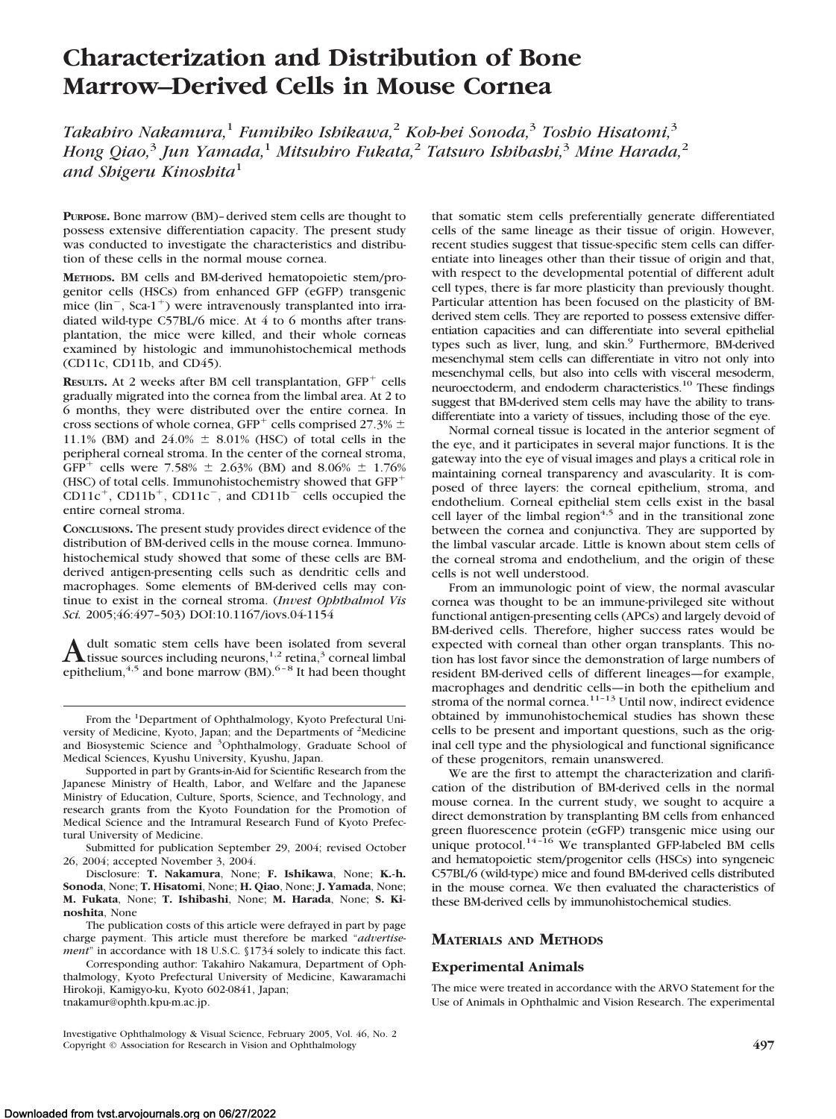# **Characterization and Distribution of Bone Marrow–Derived Cells in Mouse Cornea**

*Takahiro Nakamura,*<sup>1</sup> *Fumihiko Ishikawa,*<sup>2</sup> *Koh-hei Sonoda,*<sup>3</sup> *Toshio Hisatomi,*<sup>3</sup> *Hong Qiao,*<sup>3</sup> *Jun Yamada,*<sup>1</sup> *Mitsuhiro Fukata,*<sup>2</sup> *Tatsuro Ishibashi,*<sup>3</sup> *Mine Harada,*<sup>2</sup> *and Shigeru Kinoshita*<sup>1</sup>

**PURPOSE.** Bone marrow (BM)–derived stem cells are thought to possess extensive differentiation capacity. The present study was conducted to investigate the characteristics and distribution of these cells in the normal mouse cornea.

**METHODS.** BM cells and BM-derived hematopoietic stem/progenitor cells (HSCs) from enhanced GFP (eGFP) transgenic mice  $(\text{lin}^-, \text{Sca-1}^+)$  were intravenously transplanted into irradiated wild-type C57BL/6 mice. At 4 to 6 months after transplantation, the mice were killed, and their whole corneas examined by histologic and immunohistochemical methods (CD11c, CD11b, and CD45).

RESULTS. At 2 weeks after BM cell transplantation, GFP<sup>+</sup> cells gradually migrated into the cornea from the limbal area. At 2 to 6 months, they were distributed over the entire cornea. In cross sections of whole cornea, GFP<sup>+</sup> cells comprised 27.3%  $\pm$ 11.1% (BM) and 24.0%  $\pm$  8.01% (HSC) of total cells in the peripheral corneal stroma. In the center of the corneal stroma,  $GFP^+$  cells were 7.58%  $\pm$  2.63% (BM) and 8.06%  $\pm$  1.76% (HSC) of total cells. Immunohistochemistry showed that GFP-  $CD11c^{+}$ ,  $CD11b^{+}$ ,  $CD11c^{-}$ , and  $CD11b^{-}$  cells occupied the entire corneal stroma.

**CONCLUSIONS.** The present study provides direct evidence of the distribution of BM-derived cells in the mouse cornea. Immunohistochemical study showed that some of these cells are BMderived antigen-presenting cells such as dendritic cells and macrophages. Some elements of BM-derived cells may continue to exist in the corneal stroma. (*Invest Ophthalmol Vis Sci.* 2005;46:497–503) DOI:10.1167/iovs.04-1154

A dult somatic stem cells have been isolated from several<br>tissue sources including neurons,<sup>1,2</sup> retina,<sup>3</sup> corneal limbal<br>distribution of the man of  $6-8$  km<sup>3</sup> epithelium,  $4,5$  and bone marrow (BM).  $6-8$  It had been thought

Submitted for publication September 29, 2004; revised October 26, 2004; accepted November 3, 2004.

Disclosure: **T. Nakamura**, None; **F. Ishikawa**, None; **K.-h. Sonoda**, None; **T. Hisatomi**, None; **H. Qiao**, None; **J. Yamada**, None; **M. Fukata**, None; **T. Ishibashi**, None; **M. Harada**, None; **S. Kinoshita**, None

The publication costs of this article were defrayed in part by page charge payment. This article must therefore be marked "*advertisement*" in accordance with 18 U.S.C. §1734 solely to indicate this fact.

Corresponding author: Takahiro Nakamura, Department of Ophthalmology, Kyoto Prefectural University of Medicine, Kawaramachi Hirokoji, Kamigyo-ku, Kyoto 602-0841, Japan; tnakamur@ophth.kpu-m.ac.jp.

Investigative Ophthalmology & Visual Science, February 2005, Vol. 46, No. 2 Copyright © Association for Research in Vision and Ophthalmology **497**

that somatic stem cells preferentially generate differentiated cells of the same lineage as their tissue of origin. However, recent studies suggest that tissue-specific stem cells can differentiate into lineages other than their tissue of origin and that, with respect to the developmental potential of different adult cell types, there is far more plasticity than previously thought. Particular attention has been focused on the plasticity of BMderived stem cells. They are reported to possess extensive differentiation capacities and can differentiate into several epithelial types such as liver, lung, and skin.<sup>9</sup> Furthermore, BM-derived mesenchymal stem cells can differentiate in vitro not only into mesenchymal cells, but also into cells with visceral mesoderm, neuroectoderm, and endoderm characteristics.<sup>10</sup> These findings suggest that BM-derived stem cells may have the ability to transdifferentiate into a variety of tissues, including those of the eye.

Normal corneal tissue is located in the anterior segment of the eye, and it participates in several major functions. It is the gateway into the eye of visual images and plays a critical role in maintaining corneal transparency and avascularity. It is composed of three layers: the corneal epithelium, stroma, and endothelium. Corneal epithelial stem cells exist in the basal cell layer of the limbal  $region<sup>4,5</sup>$  and in the transitional zone between the cornea and conjunctiva. They are supported by the limbal vascular arcade. Little is known about stem cells of the corneal stroma and endothelium, and the origin of these cells is not well understood.

From an immunologic point of view, the normal avascular cornea was thought to be an immune-privileged site without functional antigen-presenting cells (APCs) and largely devoid of BM-derived cells. Therefore, higher success rates would be expected with corneal than other organ transplants. This notion has lost favor since the demonstration of large numbers of resident BM-derived cells of different lineages—for example, macrophages and dendritic cells—in both the epithelium and stroma of the normal cornea.<sup>11-13</sup> Until now, indirect evidence obtained by immunohistochemical studies has shown these cells to be present and important questions, such as the original cell type and the physiological and functional significance of these progenitors, remain unanswered.

We are the first to attempt the characterization and clarification of the distribution of BM-derived cells in the normal mouse cornea. In the current study, we sought to acquire a direct demonstration by transplanting BM cells from enhanced green fluorescence protein (eGFP) transgenic mice using our unique protocol.<sup>14-16</sup> We transplanted GFP-labeled BM cells and hematopoietic stem/progenitor cells (HSCs) into syngeneic C57BL/6 (wild-type) mice and found BM-derived cells distributed in the mouse cornea. We then evaluated the characteristics of these BM-derived cells by immunohistochemical studies.

## **MATERIALS AND METHODS**

## **Experimental Animals**

The mice were treated in accordance with the ARVO Statement for the Use of Animals in Ophthalmic and Vision Research. The experimental

From the <sup>1</sup>Department of Ophthalmology, Kyoto Prefectural University of Medicine, Kyoto, Japan; and the Departments of <sup>2</sup>Medicine and Biosystemic Science and <sup>3</sup>Ophthalmology, Graduate School of Medical Sciences, Kyushu University, Kyushu, Japan.

Supported in part by Grants-in-Aid for Scientific Research from the Japanese Ministry of Health, Labor, and Welfare and the Japanese Ministry of Education, Culture, Sports, Science, and Technology, and research grants from the Kyoto Foundation for the Promotion of Medical Science and the Intramural Research Fund of Kyoto Prefectural University of Medicine.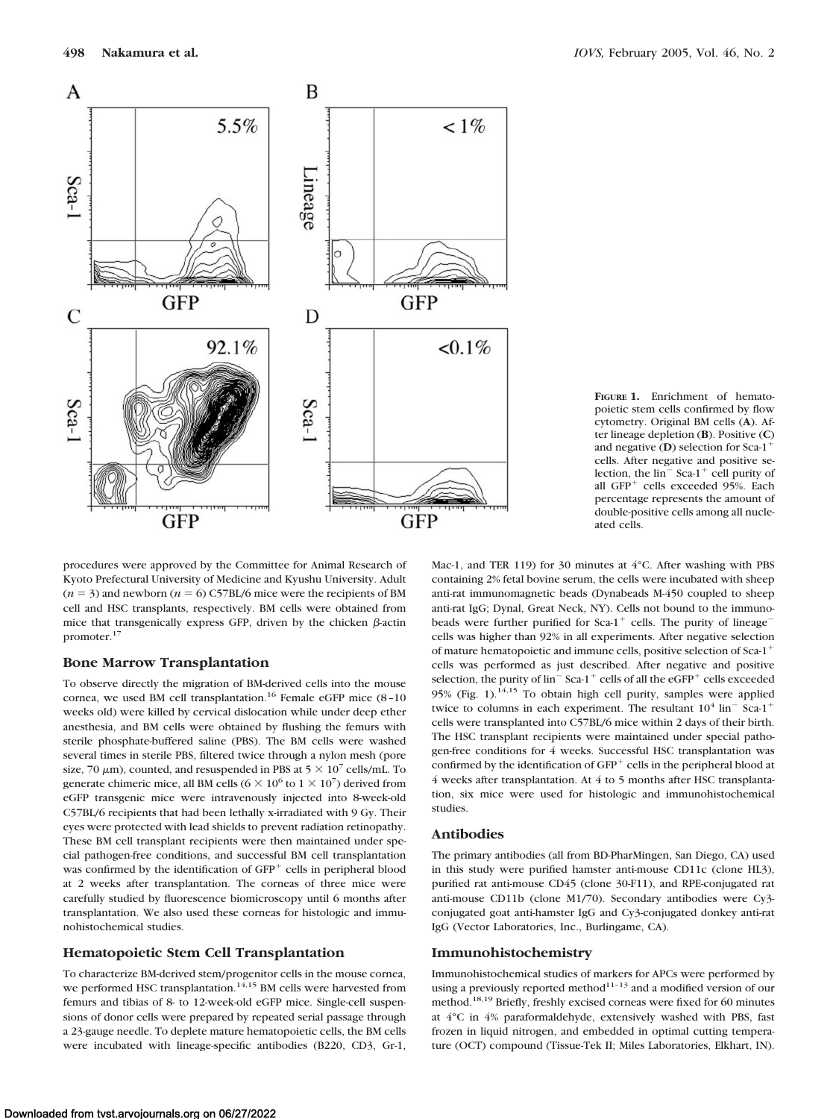

**FIGURE 1.** Enrichment of hematopoietic stem cells confirmed by flow cytometry. Original BM cells (**A**). After lineage depletion (**B**). Positive (**C**) and negative (**D**) selection for Sca-1 cells. After negative and positive selection, the  $\lim$ <sup> $-$ </sup> Sca-1<sup>+</sup> cell purity of all GFP<sup>+</sup> cells exceeded 95%. Each percentage represents the amount of double-positive cells among all nucleated cells.

procedures were approved by the Committee for Animal Research of Kyoto Prefectural University of Medicine and Kyushu University. Adult  $(n = 3)$  and newborn  $(n = 6)$  C57BL/6 mice were the recipients of BM cell and HSC transplants, respectively. BM cells were obtained from mice that transgenically express GFP, driven by the chicken  $\beta$ -actin promoter.17

#### **Bone Marrow Transplantation**

To observe directly the migration of BM-derived cells into the mouse cornea, we used BM cell transplantation.<sup>16</sup> Female eGFP mice (8-10 weeks old) were killed by cervical dislocation while under deep ether anesthesia, and BM cells were obtained by flushing the femurs with sterile phosphate-buffered saline (PBS). The BM cells were washed several times in sterile PBS, filtered twice through a nylon mesh (pore size, 70  $\mu$ m), counted, and resuspended in PBS at 5  $\times$  10<sup>7</sup> cells/mL. To generate chimeric mice, all BM cells ( $6 \times 10^6$  to  $1 \times 10^7$ ) derived from eGFP transgenic mice were intravenously injected into 8-week-old C57BL/6 recipients that had been lethally x-irradiated with 9 Gy. Their eyes were protected with lead shields to prevent radiation retinopathy. These BM cell transplant recipients were then maintained under special pathogen-free conditions, and successful BM cell transplantation was confirmed by the identification of GFP<sup>+</sup> cells in peripheral blood at 2 weeks after transplantation. The corneas of three mice were carefully studied by fluorescence biomicroscopy until 6 months after transplantation. We also used these corneas for histologic and immunohistochemical studies.

## **Hematopoietic Stem Cell Transplantation**

To characterize BM-derived stem/progenitor cells in the mouse cornea, we performed HSC transplantation.<sup>14,15</sup> BM cells were harvested from femurs and tibias of 8- to 12-week-old eGFP mice. Single-cell suspensions of donor cells were prepared by repeated serial passage through a 23-gauge needle. To deplete mature hematopoietic cells, the BM cells were incubated with lineage-specific antibodies (B220, CD3, Gr-1,

Mac-1, and TER 119) for 30 minutes at 4°C. After washing with PBS containing 2% fetal bovine serum, the cells were incubated with sheep anti-rat immunomagnetic beads (Dynabeads M-450 coupled to sheep anti-rat IgG; Dynal, Great Neck, NY). Cells not bound to the immunobeads were further purified for  $Sca-1^+$  cells. The purity of lineage<sup>-</sup> cells was higher than 92% in all experiments. After negative selection of mature hematopoietic and immune cells, positive selection of Sca- $1^+$ cells was performed as just described. After negative and positive selection, the purity of  $\text{lin}^-$  Sca-1<sup>+</sup> cells of all the eGFP<sup>+</sup> cells exceeded 95% (Fig. 1). $14,15$  To obtain high cell purity, samples were applied twice to columns in each experiment. The resultant  $10^4$  lin<sup>-</sup> Sca-1<sup>+</sup> cells were transplanted into C57BL/6 mice within 2 days of their birth. The HSC transplant recipients were maintained under special pathogen-free conditions for 4 weeks. Successful HSC transplantation was confirmed by the identification of GFP<sup>+</sup> cells in the peripheral blood at 4 weeks after transplantation. At 4 to 5 months after HSC transplantation, six mice were used for histologic and immunohistochemical studies.

## **Antibodies**

The primary antibodies (all from BD-PharMingen, San Diego, CA) used in this study were purified hamster anti-mouse CD11c (clone HL3), purified rat anti-mouse CD45 (clone 30-F11), and RPE-conjugated rat anti-mouse CD11b (clone M1/70). Secondary antibodies were Cy3 conjugated goat anti-hamster IgG and Cy3-conjugated donkey anti-rat IgG (Vector Laboratories, Inc., Burlingame, CA).

## **Immunohistochemistry**

Immunohistochemical studies of markers for APCs were performed by using a previously reported method $11-13$  and a modified version of our method.18,19 Briefly, freshly excised corneas were fixed for 60 minutes at 4°C in 4% paraformaldehyde, extensively washed with PBS, fast frozen in liquid nitrogen, and embedded in optimal cutting temperature (OCT) compound (Tissue-Tek II; Miles Laboratories, Elkhart, IN).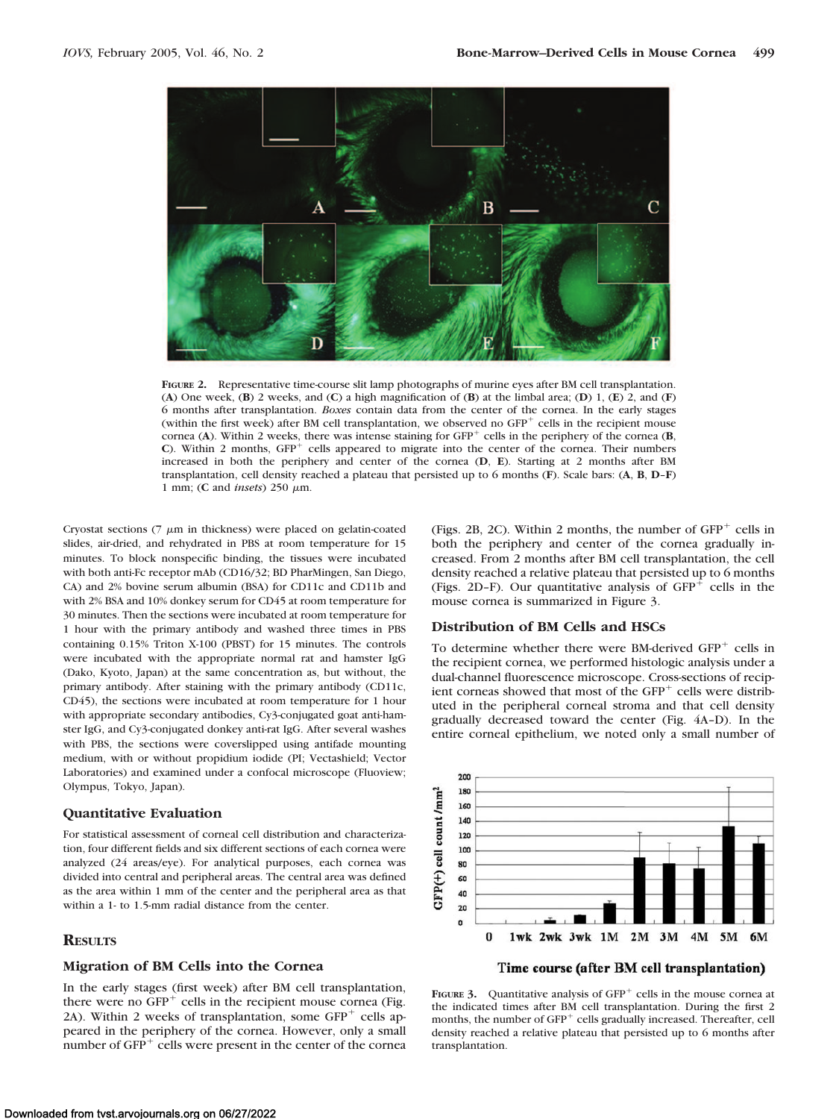

**FIGURE 2.** Representative time-course slit lamp photographs of murine eyes after BM cell transplantation. (**A**) One week, (**B**) 2 weeks, and (**C**) a high magnification of (**B**) at the limbal area; (**D**) 1, (**E**) 2, and (**F**) 6 months after transplantation. *Boxes* contain data from the center of the cornea. In the early stages (within the first week) after BM cell transplantation, we observed no GFP<sup>+</sup> cells in the recipient mouse cornea (**A**). Within 2 weeks, there was intense staining for GFP- cells in the periphery of the cornea (**B**, C). Within 2 months, GFP<sup>+</sup> cells appeared to migrate into the center of the cornea. Their numbers increased in both the periphery and center of the cornea (**D**, **E**). Starting at 2 months after BM transplantation, cell density reached a plateau that persisted up to 6 months (**F**). Scale bars: (**A**, **B**, **D**–**F**) 1 mm; (C and *insets*) 250 μm.

Cryostat sections  $(7 \mu m)$  in thickness) were placed on gelatin-coated slides, air-dried, and rehydrated in PBS at room temperature for 15 minutes. To block nonspecific binding, the tissues were incubated with both anti-Fc receptor mAb (CD16/32; BD PharMingen, San Diego, CA) and 2% bovine serum albumin (BSA) for CD11c and CD11b and with 2% BSA and 10% donkey serum for CD45 at room temperature for 30 minutes. Then the sections were incubated at room temperature for 1 hour with the primary antibody and washed three times in PBS containing 0.15% Triton X-100 (PBST) for 15 minutes. The controls were incubated with the appropriate normal rat and hamster IgG (Dako, Kyoto, Japan) at the same concentration as, but without, the primary antibody. After staining with the primary antibody (CD11c, CD45), the sections were incubated at room temperature for 1 hour with appropriate secondary antibodies, Cy3-conjugated goat anti-hamster IgG, and Cy3-conjugated donkey anti-rat IgG. After several washes with PBS, the sections were coverslipped using antifade mounting medium, with or without propidium iodide (PI; Vectashield; Vector Laboratories) and examined under a confocal microscope (Fluoview; Olympus, Tokyo, Japan).

## **Quantitative Evaluation**

For statistical assessment of corneal cell distribution and characterization, four different fields and six different sections of each cornea were analyzed (24 areas/eye). For analytical purposes, each cornea was divided into central and peripheral areas. The central area was defined as the area within 1 mm of the center and the peripheral area as that within a 1- to 1.5-mm radial distance from the center.

## **RESULTS**

## **Migration of BM Cells into the Cornea**

In the early stages (first week) after BM cell transplantation, there were no  $\overline{GFP}^+$  cells in the recipient mouse cornea (Fig. 2A). Within 2 weeks of transplantation, some  $GFP^+$  cells appeared in the periphery of the cornea. However, only a small number of  $GFP<sup>+</sup>$  cells were present in the center of the cornea

(Figs. 2B, 2C). Within 2 months, the number of GFP<sup>+</sup> cells in both the periphery and center of the cornea gradually increased. From 2 months after BM cell transplantation, the cell density reached a relative plateau that persisted up to 6 months (Figs. 2D-F). Our quantitative analysis of  $GFP<sup>+</sup>$  cells in the mouse cornea is summarized in Figure 3.

#### **Distribution of BM Cells and HSCs**

To determine whether there were BM-derived GFP<sup>+</sup> cells in the recipient cornea, we performed histologic analysis under a dual-channel fluorescence microscope. Cross-sections of recipient corneas showed that most of the  $GFP<sup>+</sup>$  cells were distributed in the peripheral corneal stroma and that cell density gradually decreased toward the center (Fig. 4A–D). In the entire corneal epithelium, we noted only a small number of



Time course (after BM cell transplantation)

**FIGURE 3.** Quantitative analysis of  $GFP<sup>+</sup>$  cells in the mouse cornea at the indicated times after BM cell transplantation. During the first 2 months, the number of GFP<sup>+</sup> cells gradually increased. Thereafter, cell density reached a relative plateau that persisted up to 6 months after transplantation.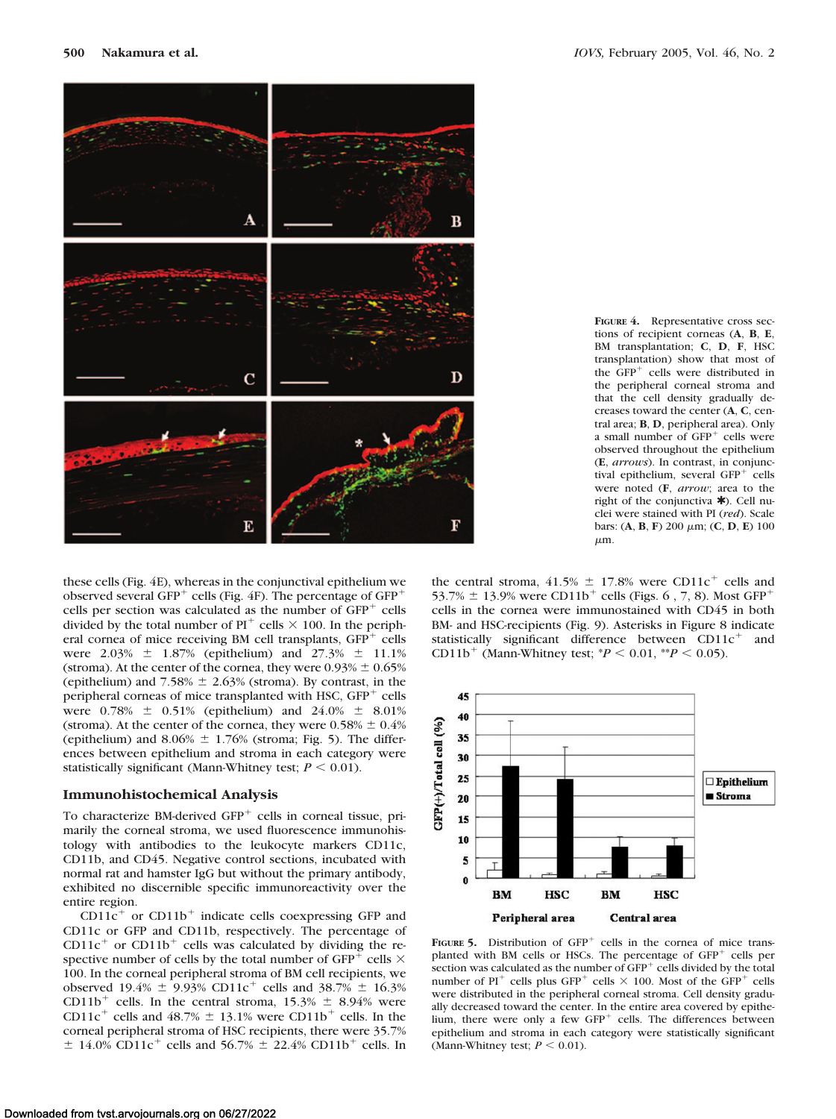

**FIGURE 4.** Representative cross sections of recipient corneas (**A**, **B**, **E**, BM transplantation; **C**, **D**, **F**, HSC transplantation) show that most of the GFP<sup>+</sup> cells were distributed in the peripheral corneal stroma and that the cell density gradually decreases toward the center (**A**, **C**, central area; **B**, **D**, peripheral area). Only a small number of GFP<sup>+</sup> cells were observed throughout the epithelium (**E**, *arrows*). In contrast, in conjunctival epithelium, several GFP<sup>+</sup> cells were noted (**F**, *arrow*; area to the right of the conjunctiva  $\star$ ). Cell nuclei were stained with PI (*red*). Scale  $bars:$  (A, B, F) 200  $\mu$ m; (C, D, E) 100  $\mu$ m.

these cells (Fig. 4E), whereas in the conjunctival epithelium we observed several  $GFP^+$  cells (Fig. 4F). The percentage of  $GFP^+$ cells per section was calculated as the number of GFP<sup>+</sup> cells divided by the total number of  $PI^+$  cells  $\times$  100. In the peripheral cornea of mice receiving BM cell transplants, GFP<sup>+</sup> cells were  $2.03\% \pm 1.87\%$  (epithelium) and  $27.3\% \pm 11.1\%$ (stroma). At the center of the cornea, they were  $0.93\% \pm 0.65\%$ (epithelium) and  $7.58\% \pm 2.63\%$  (stroma). By contrast, in the peripheral corneas of mice transplanted with HSC, GFP<sup>+</sup> cells were  $0.78\% \pm 0.51\%$  (epithelium) and  $24.0\% \pm 8.01\%$ (stroma). At the center of the cornea, they were  $0.58\% \pm 0.4\%$ (epithelium) and  $8.06\% \pm 1.76\%$  (stroma; Fig. 5). The differences between epithelium and stroma in each category were statistically significant (Mann-Whitney test;  $P \leq 0.01$ ).

## **Immunohistochemical Analysis**

To characterize BM-derived GFP<sup>+</sup> cells in corneal tissue, primarily the corneal stroma, we used fluorescence immunohistology with antibodies to the leukocyte markers CD11c, CD11b, and CD45. Negative control sections, incubated with normal rat and hamster IgG but without the primary antibody, exhibited no discernible specific immunoreactivity over the entire region.

CD11 $c$ <sup>+</sup> or CD11b<sup>+</sup> indicate cells coexpressing GFP and CD11c or GFP and CD11b, respectively. The percentage of  $CD11c<sup>+</sup>$  or  $CD11b<sup>+</sup>$  cells was calculated by dividing the respective number of cells by the total number of GFP<sup>+</sup> cells  $\times$ 100. In the corneal peripheral stroma of BM cell recipients, we observed 19.4%  $\pm$  9.93% CD11c<sup>+</sup> cells and 38.7%  $\pm$  16.3% CD11b<sup>+</sup> cells. In the central stroma,  $15.3\% \pm 8.94\%$  were CD11c<sup>+</sup> cells and  $48.7\% \pm 13.1\%$  were CD11b<sup>+</sup> cells. In the corneal peripheral stroma of HSC recipients, there were 35.7%  $\pm$  14.0% CD11c<sup>+</sup> cells and 56.7%  $\pm$  22.4% CD11b<sup>+</sup> cells. In

the central stroma,  $41.5\% \pm 17.8\%$  were CD11c<sup>+</sup> cells and 53.7%  $\pm$  13.9% were CD11b<sup>+</sup> cells (Figs. 6, 7, 8). Most GFP<sup>+</sup> cells in the cornea were immunostained with CD45 in both BM- and HSC-recipients (Fig. 9). Asterisks in Figure 8 indicate statistically significant difference between  $CD11c^{+}$  and CD11b<sup>+</sup> (Mann-Whitney test;  $*P < 0.01$ ,  $*P < 0.05$ ).



FIGURE 5. Distribution of GFP<sup>+</sup> cells in the cornea of mice transplanted with BM cells or HSCs. The percentage of GFP<sup>+</sup> cells per section was calculated as the number of  $GFP<sup>+</sup>$  cells divided by the total number of PI<sup>+</sup> cells plus GFP<sup>+</sup> cells  $\times$  100. Most of the GFP<sup>+</sup> cells were distributed in the peripheral corneal stroma. Cell density gradually decreased toward the center. In the entire area covered by epithelium, there were only a few  $GFP<sup>+</sup>$  cells. The differences between epithelium and stroma in each category were statistically significant (Mann-Whitney test;  $P < 0.01$ ).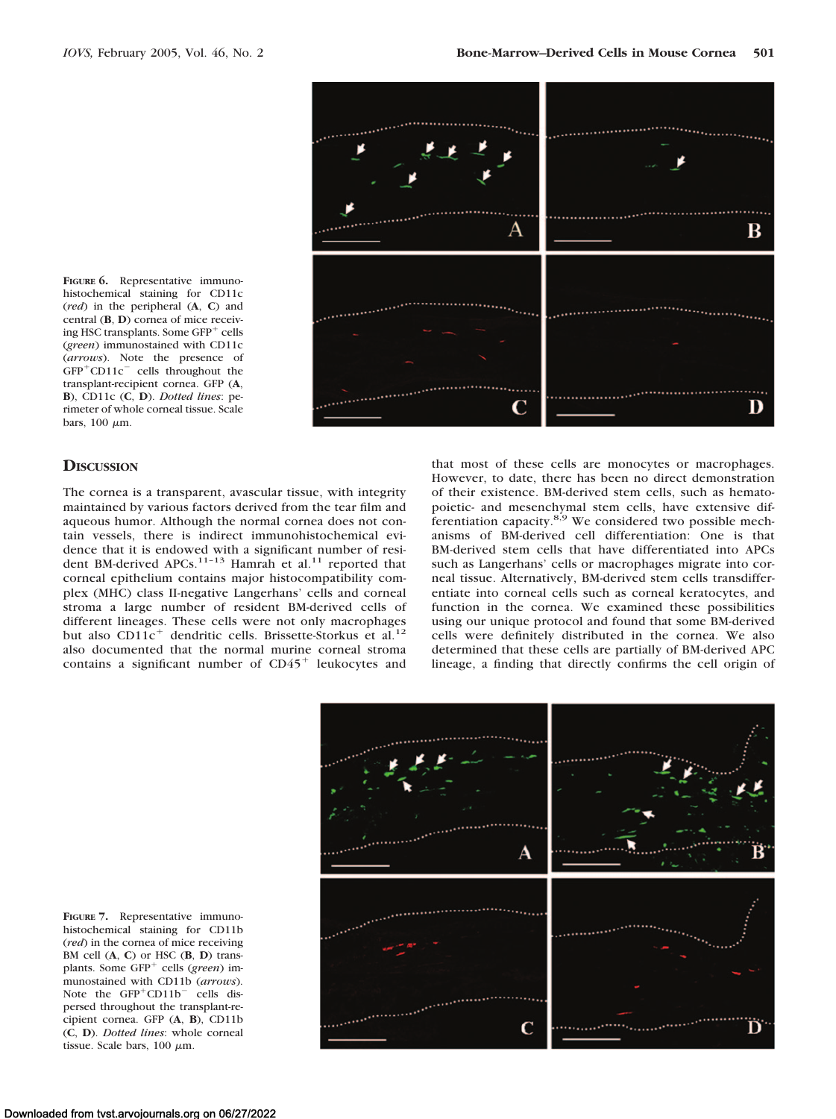**FIGURE 6.** Representative immunohistochemical staining for CD11c (*red*) in the peripheral (**A**, **C**) and central (**B**, **D**) cornea of mice receiving HSC transplants. Some GFP- cells (*green*) immunostained with CD11c (*arrows*). Note the presence of  $GFP<sup>+</sup>CD11c<sup>-</sup>$  cells throughout the transplant-recipient cornea. GFP (**A**, **B**), CD11c (**C**, **D**). *Dotted lines*: perimeter of whole corneal tissue. Scale bars,  $100 \mu m$ .

## **DISCUSSION**

The cornea is a transparent, avascular tissue, with integrity maintained by various factors derived from the tear film and aqueous humor. Although the normal cornea does not contain vessels, there is indirect immunohistochemical evidence that it is endowed with a significant number of resident BM-derived APCs.<sup>11-13</sup> Hamrah et al.<sup>11</sup> reported that corneal epithelium contains major histocompatibility complex (MHC) class II-negative Langerhans' cells and corneal stroma a large number of resident BM-derived cells of different lineages. These cells were not only macrophages but also CD11c<sup>+</sup> dendritic cells. Brissette-Storkus et al.<sup>12</sup> also documented that the normal murine corneal stroma contains a significant number of  $CD45<sup>+</sup>$  leukocytes and

that most of these cells are monocytes or macrophages. However, to date, there has been no direct demonstration of their existence. BM-derived stem cells, such as hematopoietic- and mesenchymal stem cells, have extensive differentiation capacity.<sup>8,9</sup> We considered two possible mechanisms of BM-derived cell differentiation: One is that BM-derived stem cells that have differentiated into APCs such as Langerhans' cells or macrophages migrate into corneal tissue. Alternatively, BM-derived stem cells transdifferentiate into corneal cells such as corneal keratocytes, and function in the cornea. We examined these possibilities using our unique protocol and found that some BM-derived cells were definitely distributed in the cornea. We also determined that these cells are partially of BM-derived APC lineage, a finding that directly confirms the cell origin of



**FIGURE 7.** Representative immunohistochemical staining for CD11b (*red*) in the cornea of mice receiving BM cell (**A**, **C**) or HSC (**B**, **D**) transplants. Some GFP<sup>+</sup> cells (*green*) immunostained with CD11b (*arrows*). Note the  $GFP<sup>+</sup>CD11b<sup>-</sup>$  cells dispersed throughout the transplant-recipient cornea. GFP (**A**, **B**), CD11b (**C**, **D**). *Dotted lines*: whole corneal tissue. Scale bars,  $100 \mu m$ .

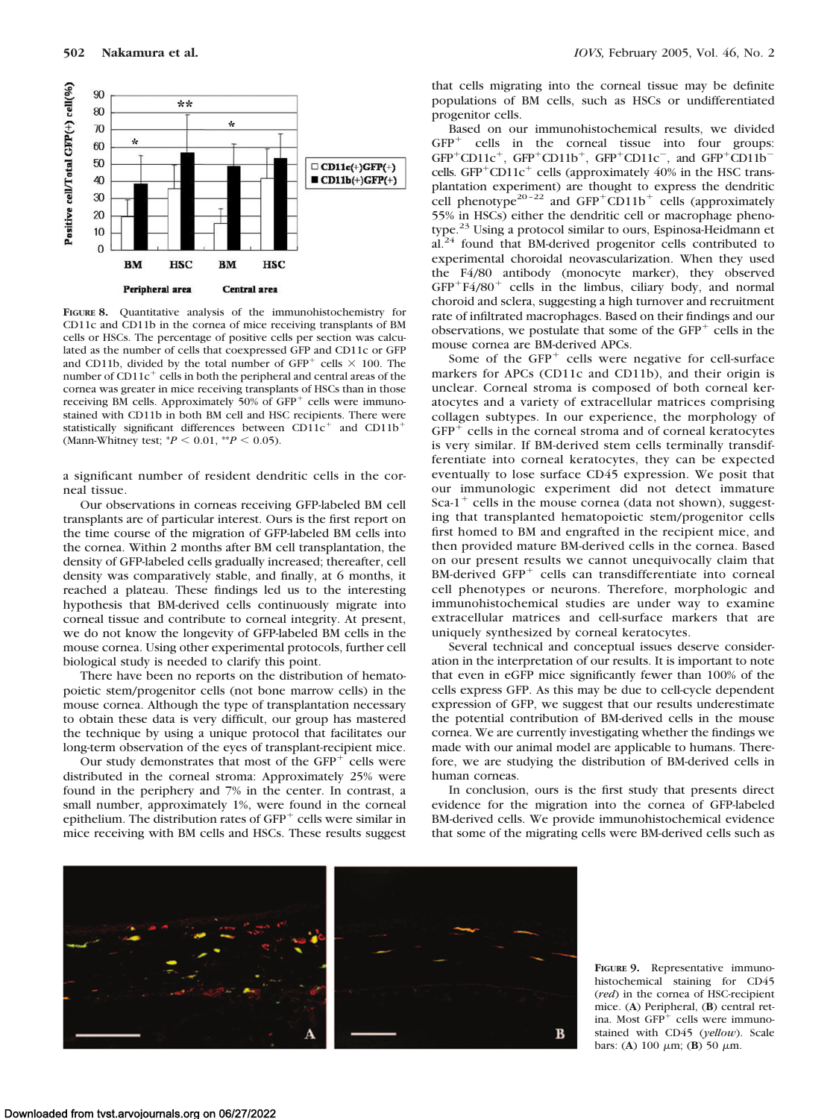

**FIGURE 8.** Quantitative analysis of the immunohistochemistry for CD11c and CD11b in the cornea of mice receiving transplants of BM cells or HSCs. The percentage of positive cells per section was calculated as the number of cells that coexpressed GFP and CD11c or GFP and CD11b, divided by the total number of  $GFP^+$  cells  $\times$  100. The number of  $CD11c^+$  cells in both the peripheral and central areas of the cornea was greater in mice receiving transplants of HSCs than in those receiving BM cells. Approximately 50% of GFP<sup>+</sup> cells were immunostained with CD11b in both BM cell and HSC recipients. There were statistically significant differences between  $CD11c^{+}$  and  $CD11b^{+}$ (Mann-Whitney test;  $*P < 0.01$ ,  $*P < 0.05$ ).

a significant number of resident dendritic cells in the corneal tissue.

Our observations in corneas receiving GFP-labeled BM cell transplants are of particular interest. Ours is the first report on the time course of the migration of GFP-labeled BM cells into the cornea. Within 2 months after BM cell transplantation, the density of GFP-labeled cells gradually increased; thereafter, cell density was comparatively stable, and finally, at 6 months, it reached a plateau. These findings led us to the interesting hypothesis that BM-derived cells continuously migrate into corneal tissue and contribute to corneal integrity. At present, we do not know the longevity of GFP-labeled BM cells in the mouse cornea. Using other experimental protocols, further cell biological study is needed to clarify this point.

There have been no reports on the distribution of hematopoietic stem/progenitor cells (not bone marrow cells) in the mouse cornea. Although the type of transplantation necessary to obtain these data is very difficult, our group has mastered the technique by using a unique protocol that facilitates our long-term observation of the eyes of transplant-recipient mice.

Our study demonstrates that most of the  $GFP<sup>+</sup>$  cells were distributed in the corneal stroma: Approximately 25% were found in the periphery and 7% in the center. In contrast, a small number, approximately 1%, were found in the corneal epithelium. The distribution rates of GFP<sup>+</sup> cells were similar in mice receiving with BM cells and HSCs. These results suggest

that cells migrating into the corneal tissue may be definite populations of BM cells, such as HSCs or undifferentiated progenitor cells.

Based on our immunohistochemical results, we divided GFP<sup>+</sup> cells in the corneal tissue into four groups:  $GFP^+CD11c^+$ ,  $GFP^+CD11b^+$ ,  $GFP^+CD11c^-$ , and  $GFP^+CD11b^$ cells. GFP<sup>+</sup>CD11c<sup>+</sup> cells (approximately 40% in the HSC transplantation experiment) are thought to express the dendritic cell phenotype<sup>20-22</sup> and  $GFP+CD11b+$  cells (approximately 55% in HSCs) either the dendritic cell or macrophage phenotype.23 Using a protocol similar to ours, Espinosa-Heidmann et al.24 found that BM-derived progenitor cells contributed to experimental choroidal neovascularization. When they used the F4/80 antibody (monocyte marker), they observed GFP<sup>+</sup>F4/80<sup>+</sup> cells in the limbus, ciliary body, and normal choroid and sclera, suggesting a high turnover and recruitment rate of infiltrated macrophages. Based on their findings and our observations, we postulate that some of the  $GFP<sup>+</sup>$  cells in the mouse cornea are BM-derived APCs.

Some of the  $GFP<sup>+</sup>$  cells were negative for cell-surface markers for APCs (CD11c and CD11b), and their origin is unclear. Corneal stroma is composed of both corneal keratocytes and a variety of extracellular matrices comprising collagen subtypes. In our experience, the morphology of GFP<sup>+</sup> cells in the corneal stroma and of corneal keratocytes is very similar. If BM-derived stem cells terminally transdifferentiate into corneal keratocytes, they can be expected eventually to lose surface CD45 expression. We posit that our immunologic experiment did not detect immature Sca-1<sup>+</sup> cells in the mouse cornea (data not shown), suggesting that transplanted hematopoietic stem/progenitor cells first homed to BM and engrafted in the recipient mice, and then provided mature BM-derived cells in the cornea. Based on our present results we cannot unequivocally claim that BM-derived GFP<sup>+</sup> cells can transdifferentiate into corneal cell phenotypes or neurons. Therefore, morphologic and immunohistochemical studies are under way to examine extracellular matrices and cell-surface markers that are uniquely synthesized by corneal keratocytes.

Several technical and conceptual issues deserve consideration in the interpretation of our results. It is important to note that even in eGFP mice significantly fewer than 100% of the cells express GFP. As this may be due to cell-cycle dependent expression of GFP, we suggest that our results underestimate the potential contribution of BM-derived cells in the mouse cornea. We are currently investigating whether the findings we made with our animal model are applicable to humans. Therefore, we are studying the distribution of BM-derived cells in human corneas.

In conclusion, ours is the first study that presents direct evidence for the migration into the cornea of GFP-labeled BM-derived cells. We provide immunohistochemical evidence that some of the migrating cells were BM-derived cells such as



**FIGURE 9.** Representative immunohistochemical staining for CD45 (*red*) in the cornea of HSC-recipient mice. (**A**) Peripheral, (**B**) central retina. Most GFP<sup>+</sup> cells were immunostained with CD45 (*yellow*). Scale bars: (A)  $100 \mu m$ ; (B)  $50 \mu m$ .